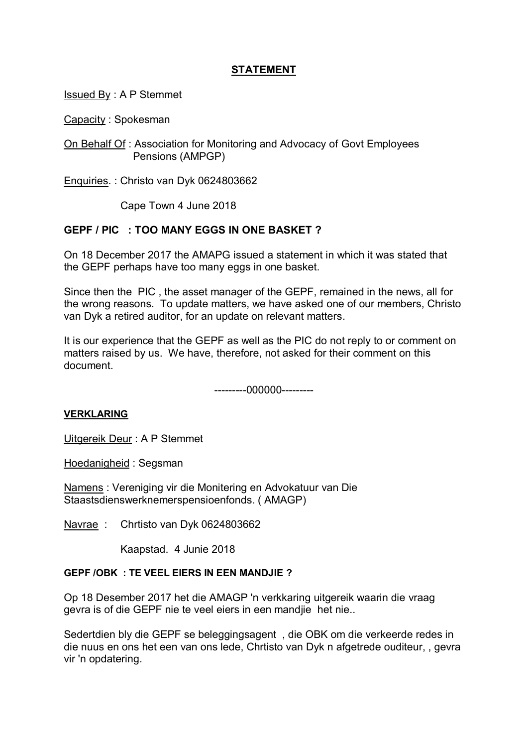# **STATEMENT**

Issued By : A P Stemmet

Capacity : Spokesman

On Behalf Of : Association for Monitoring and Advocacy of Govt Employees Pensions (AMPGP)

Enquiries. : Christo van Dyk 0624803662

Cape Town 4 June 2018

## **GEPF / PIC : TOO MANY EGGS IN ONE BASKET ?**

On 18 December 2017 the AMAPG issued a statement in which it was stated that the GEPF perhaps have too many eggs in one basket.

Since then the PIC , the asset manager of the GEPF, remained in the news, all for the wrong reasons. To update matters, we have asked one of our members, Christo van Dyk a retired auditor, for an update on relevant matters.

It is our experience that the GEPF as well as the PIC do not reply to or comment on matters raised by us. We have, therefore, not asked for their comment on this document.

---------000000---------

## **VERKLARING**

Uitgereik Deur : A P Stemmet

Hoedanigheid : Segsman

Namens : Vereniging vir die Monitering en Advokatuur van Die Staastsdienswerknemerspensioenfonds. ( AMAGP)

Navrae : Chrtisto van Dyk 0624803662

Kaapstad. 4 Junie 2018

#### **GEPF /OBK : TE VEEL EIERS IN EEN MANDJIE ?**

Op 18 Desember 2017 het die AMAGP 'n verkkaring uitgereik waarin die vraag gevra is of die GEPF nie te veel eiers in een mandjie het nie..

Sedertdien bly die GEPF se beleggingsagent , die OBK om die verkeerde redes in die nuus en ons het een van ons lede, Chrtisto van Dyk n afgetrede ouditeur, , gevra vir 'n opdatering.